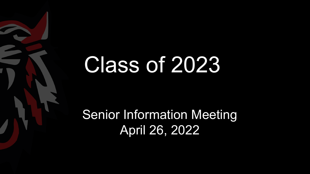# Class of 2023

Senior Information Meeting April 26, 2022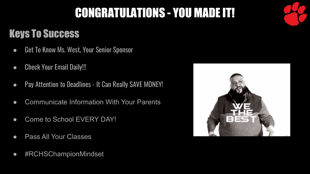### CONGRATULATIONS - YOU MADE IT!

### Keys To Success

- Get To Know Ms. West, Your Senior Sponsor
- Check Your Email Daily!!!
- Pay Attention to Deadlines It Can Really SAVE MONEY!
- Communicate Information With Your Parents
- Come to School EVERY DAY!
- Pass All Your Classes
- #RCHSChampionMindset

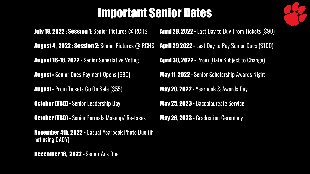### Important Senior Dates

**July 19, 2022 : Session 1:** Senior Pictures @ RCHS August 4 , 2022 : Session 2: Senior Pictures @ RCHS August 16-18, 2022 - Senior Superlative Voting August - Senior Dues Payment Opens (\$80) August - Prom Tickets Go On Sale (\$55) **October (TBD) - Senior Leadership Day October (TBD) - Senior Formals Makeup/ Re-takes** November 4th, 2022 - Casual Yearbook Photo Due (if

April 28, 2022 - Last Day to Buy Prom Tickets (\$90) April 29 2022 - Last Day to Pay Senior Dues (\$100) April 30, 2022 - Prom (Date Subject to Change) May 11, 2022 - Senior Scholarship Awards Night May 20, 2022 - Yearbook & Awards Day May 25, 2023 - Baccalaureate Service May 26, 2023 - Graduation Ceremony

December 16, 2022 - Senior Ads Due

not using CADY)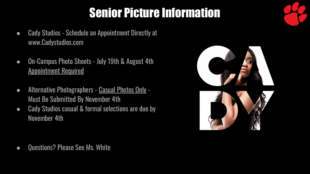# Senior Picture Information

- Cady Studios Schedule an Appointment Directly at www.Cadystudios.com
- On-Campus Photo Shoots July 19th & August 4th Appointment Required
- Alternative Photographers Casual Photos Only Must Be Submitted By November 4th
- Cady Studios casual & formal selections are due by November 4th



● Questions? Please See Ms. White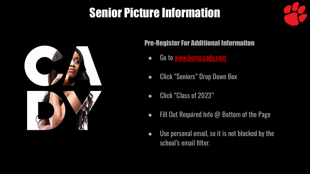### Senior Picture Information



#### Pre-Register For Additional Informaiton

- Go to www.home.cady.com
- Click "Seniors" Drop Down Box
- Click "Class of 2023"
- Fill Out Required Info @ Bottom of the Page
- Use personal email, so it is not blocked by the school's email filter.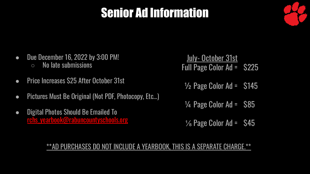### Senior Ad Information



- Due December 16, 2022 by 3:00 PM!  $\circ$  No late submissions
- Price Increases \$25 After October 31st
- Pictures Must Be Original (Not PDF, Photocopy, Etc…)
- Digital Photos Should Be Emailed To rchs\_yearbook@rabuncountyschools.org
- July- October 31st Full Page Color Ad = \$225
- $\frac{1}{2}$  Page Color Ad =  $\frac{1}{2}$  S145
- $\frac{1}{4}$  Page Color Ad =  $\frac{1}{4}$  S85
- $\frac{1}{8}$  Page Color Ad =  $\frac{1}{8}$

#### \*\*AD PURCHASES DO NOT INCLUDE A YEARBOOK, THIS IS A SEPARATE CHARGE.\*\*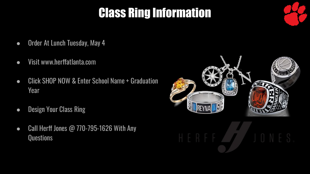# Class Ring Information

- Order At Lunch Tuesday, May 4
- Visit www.herffatlanta.com
- Click SHOP NOW & Enter School Name + Graduation Year
- Design Your Class Ring
- Call Herff Jones @ 770-795-1626 With Any **Questions**

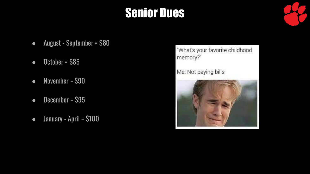### **Senior Dues**

- August September = \$80
- $\bullet$  October = \$85
- November = \$90
- December = \$95
- January April = \$100

"What's your favorite childhood memory?"

Me: Not paying bills